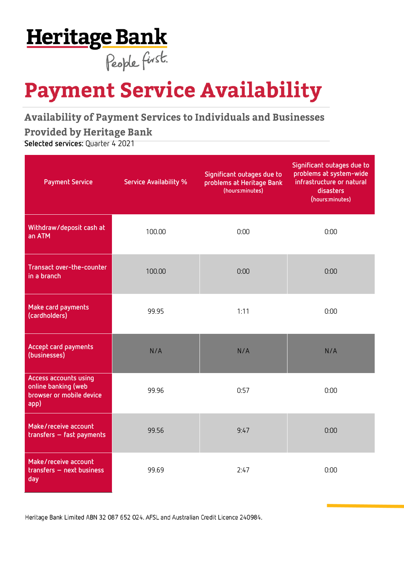## **Heritage Bank** People first.

# **Payment Service Availability**

**Availability of Payment Services to Individuals and Businesses Provided by Heritage Bank** 

**Selected services:** Quarter 4 2021

| <b>Payment Service</b>                                                           | <b>Service Availability %</b> | Significant outages due to<br>problems at Heritage Bank<br>(hours:minutes) | Significant outages due to<br>problems at system-wide<br>infrastructure or natural<br>disasters<br>(hours:minutes) |
|----------------------------------------------------------------------------------|-------------------------------|----------------------------------------------------------------------------|--------------------------------------------------------------------------------------------------------------------|
| Withdraw/deposit cash at<br>an ATM                                               | 100.00                        | 0:00                                                                       | 0:00                                                                                                               |
| Transact over-the-counter<br>in a branch                                         | 100.00                        | 0:00                                                                       | 0:00                                                                                                               |
| Make card payments<br>(cardholders)                                              | 99.95                         | 1:11                                                                       | 0:00                                                                                                               |
| Accept card payments<br>(businesses)                                             | N/A                           | N/A                                                                        | N/A                                                                                                                |
| Access accounts using<br>online banking (web<br>browser or mobile device<br>app) | 99.96                         | 0:57                                                                       | 0:00                                                                                                               |
| Make/receive account<br>$transfers - fast payments$                              | 99.56                         | 9:47                                                                       | 0:00                                                                                                               |
| Make/receive account<br>transfers - next business<br>day                         | 99.69                         | 2:47                                                                       | 0:00                                                                                                               |

Heritage Bank Limited ABN 32 087 652 024. AFSL and Australian Credit Licence 240984.